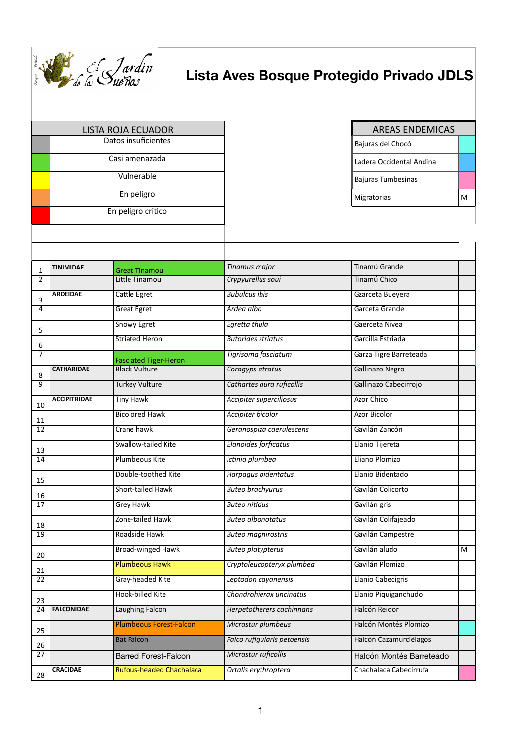

## **Lista Aves Bosque Protegido Privado JDLS**

|                 | <b>LISTA ROJA ECUADOR</b><br>Datos insuficientes |                                 |                                | <b>AREAS ENDEMICAS</b>   |   |
|-----------------|--------------------------------------------------|---------------------------------|--------------------------------|--------------------------|---|
|                 |                                                  |                                 |                                | Bajuras del Chocó        |   |
|                 |                                                  | Casi amenazada                  |                                | Ladera Occidental Andina |   |
|                 |                                                  | Vulnerable                      |                                | Bajuras Tumbesinas       |   |
|                 |                                                  | En peligro                      |                                | Migratorias              | M |
|                 |                                                  | En peligro critico              |                                |                          |   |
|                 |                                                  |                                 |                                |                          |   |
| $\mathbf{1}$    | <b>TINIMIDAE</b>                                 | <b>Great Tinamou</b>            | Tinamus major                  | Tinamú Grande            |   |
| 2               |                                                  | Little Tinamou                  | Crypyurellus soui              | Tinamú Chico             |   |
| 3               | <b>ARDEIDAE</b>                                  | Cattle Egret                    | <b>Bubulcus ibis</b>           | Gzarceta Bueyera         |   |
| $\overline{4}$  |                                                  | <b>Great Egret</b>              | Ardea alba                     | Garceta Grande           |   |
| 5               |                                                  | <b>Snowy Egret</b>              | Egretta thula                  | Gaerceta Nivea           |   |
| 6               |                                                  | <b>Striated Heron</b>           | <b>Butorides striatus</b>      | Garcilla Estriada        |   |
| $\overline{7}$  |                                                  | <b>Fasciated Tiger-Heron</b>    | Tigrisoma fasciatum            | Garza Tigre Barreteada   |   |
| 8               | <b>CATHARIDAE</b>                                | <b>Black Vulture</b>            | Coragyps atratus               | <b>Gallinazo Negro</b>   |   |
| $\overline{9}$  |                                                  | <b>Turkey Vulture</b>           | Cathartes aura ruficollis      | Gallinazo Cabecirrojo    |   |
| 10              | <b>ACCIPITRIDAE</b>                              | <b>Tiny Hawk</b>                | <b>Accipiter superciliosus</b> | <b>Azor Chico</b>        |   |
| 11              |                                                  | <b>Bicolored Hawk</b>           | Accipiter bicolor              | <b>Azor Bicolor</b>      |   |
| 12              |                                                  | Crane hawk                      | Geranospiza caerulescens       | Gavilán Zancón           |   |
| 13              |                                                  | Swallow-tailed Kite             | Elanoides forficatus           | Elanio Tijereta          |   |
| 14              |                                                  | <b>Plumbeous Kite</b>           | Ictinia plumbea                | Eliano Plomizo           |   |
| 15              |                                                  | Double-toothed Kite             | Harpagus bidentatus            | Elanio Bidentado         |   |
| 16              |                                                  | Short-tailed Hawk               | <b>Buteo brachyurus</b>        | Gavilán Colicorto        |   |
| 17              |                                                  | <b>Grey Hawk</b>                | <b>Buteo nitidus</b>           | Gavilán gris             |   |
| 18              |                                                  | Zone-tailed Hawk                | <b>Buteo albonotatus</b>       | Gavilán Colifajeado      |   |
| 19              |                                                  | Roadside Hawk                   | <b>Buteo magnirostris</b>      | Gavilán Campestre        |   |
| 20              |                                                  | <b>Broad-winged Hawk</b>        | <b>Buteo platypterus</b>       | Gavilán aludo            | M |
| 21              |                                                  | <b>Plumbeous Hawk</b>           | Cryptoleucopteryx plumbea      | Gavilán Plomizo          |   |
| 22              |                                                  | Gray-headed Kite                | Leptodon cayanensis            | <b>Elanio Cabecigris</b> |   |
| 23              |                                                  | Hook-billed Kite                | Chondrohierax uncinatus        | Elanio Piquiganchudo     |   |
| $\overline{24}$ | <b>FALCONIDAE</b>                                | <b>Laughing Falcon</b>          | Herpetotherers cachinnans      | Halcón Reidor            |   |
| 25              |                                                  | <b>Plumbeous Forest-Falcon</b>  | Micrastur plumbeus             | Halcón Montés Plomizo    |   |
| 26              |                                                  | <b>Bat Falcon</b>               | Falco rufigularis petoensis    | Halcón Cazamurciélagos   |   |
| 27              |                                                  | <b>Barred Forest-Falcon</b>     | Micrastur ruficollis           | Halcón Montés Barreteado |   |
| 28              | <b>CRACIDAE</b>                                  | <b>Rufous-headed Chachalaca</b> | Ortalis erythroptera           | Chachalaca Cabecirrufa   |   |
|                 |                                                  |                                 |                                |                          |   |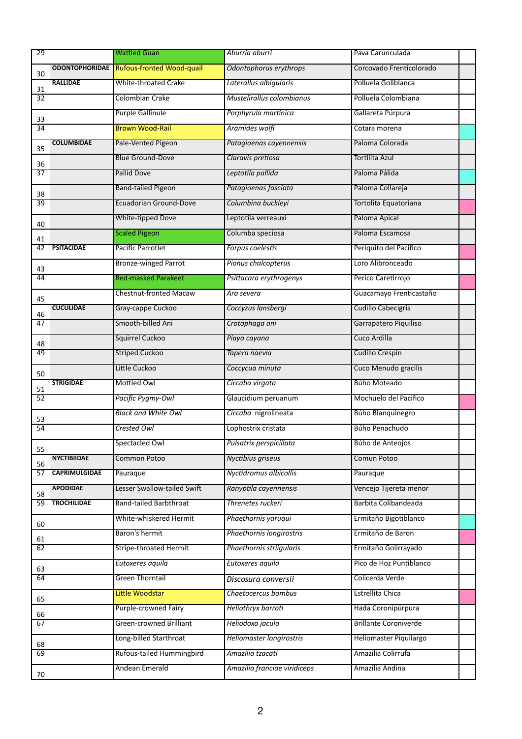| 29                    |                      | <b>Wattled Guan</b>                      | Aburria aburri               | Pava Carunculada             |  |
|-----------------------|----------------------|------------------------------------------|------------------------------|------------------------------|--|
|                       |                      | ODONTOPHORIDAE Rufous-fronted Wood-quail | Odontophorus erythrops       | Corcovado Frenticolorado     |  |
| 30                    | <b>RALLIDAE</b>      | <b>White-throated Crake</b>              | Laterallus albigularis       | Polluela Goliblanca          |  |
| 31<br>$\overline{32}$ |                      | <b>Colombian Crake</b>                   | Mustelirallus colombianus    | Polluela Colombiana          |  |
|                       |                      | <b>Purple Gallinule</b>                  | Porphyrula martinica         | Gallareta Púrpura            |  |
| 33<br>34              |                      | <b>Brown Wood-Rail</b>                   | Aramides wolfi               | Cotara morena                |  |
|                       | <b>COLUMBIDAE</b>    | Pale-Vented Pigeon                       | Patagioenas cayennensis      | Paloma Colorada              |  |
| 35<br>36              |                      | <b>Blue Ground-Dove</b>                  | Claravis pretiosa            | <b>Tortilita Azul</b>        |  |
| $\overline{37}$       |                      | Pallid Dove                              | Leptotila pallida            | Paloma Pálida                |  |
| 38                    |                      | <b>Band-tailed Pigeon</b>                | Patagioenas fasciata         | Paloma Collareja             |  |
| 39                    |                      | Ecuadorian Ground-Dove                   | Columbina buckleyi           | Tortolita Equatoriana        |  |
| 40                    |                      | White-tipped Dove                        | Leptotila verreauxi          | Paloma Apical                |  |
| 41                    |                      | <b>Scaled Pigeon</b>                     | Columba speciosa             | Paloma Escamosa              |  |
| 42                    | <b>PSITACIDAE</b>    | Pacific Parrotlet                        | Forpus coelestis             | Periquito del Pacifico       |  |
| 43                    |                      | <b>Bronze-winged Parrot</b>              | Pionus chalcopterus          | Loro Alibronceado            |  |
| 44                    |                      | <b>Red-masked Parakeet</b>               | Psittacara erythrogenys      | Perico Caretirrojo           |  |
| 45                    |                      | <b>Chestnut-fronted Macaw</b>            | Ara severa                   | Guacamayo Frenticastaño      |  |
| 46                    | <b>CUCULIDAE</b>     | Gray-cappe Cuckoo                        | Coccyzus lansbergi           | <b>Cudillo Cabecigris</b>    |  |
| 47                    |                      | Smooth-billed Ani                        | Crotophaga ani               | Garrapatero Piquiliso        |  |
| 48                    |                      | <b>Squirrel Cuckoo</b>                   | Piaya cayana                 | Cuco Ardilla                 |  |
| 49                    |                      | <b>Striped Cuckoo</b>                    | Tapera naevia                | <b>Cudillo Crespin</b>       |  |
| 50                    |                      | Little Cuckoo                            | Coccycua minuta              | Cuco Menudo gracilis         |  |
| 51                    | <b>STRIGIDAE</b>     | Mottled Owl                              | Ciccaba virgata              | Búho Moteado                 |  |
| 52                    |                      | Pacific Pygmy-Owl                        | Glaucidium peruanum          | Mochuelo del Pacifico        |  |
| 53                    |                      | <b>Black and White Owl</b>               | Ciccaba nigrolineata         | Búho Blanquinegro            |  |
| 54                    |                      | <b>Crested Owl</b>                       | Lophostrix cristata          | Búho Penachudo               |  |
| 55                    |                      | Spectacled Owl                           | Pulsatrix perspicillata      | Búho de Anteojos             |  |
| 56                    | <b>NYCTIBIIDAE</b>   | <b>Common Potoo</b>                      | Nyctibius griseus            | Comun Potoo                  |  |
| 57                    | <b>CAPRIMULGIDAE</b> | Pauraque                                 | Nyctidromus albicollis       | Pauraque                     |  |
| 58                    | <b>APODIDAE</b>      | Lesser Swallow-tailed Swift              | Ranyptila cayennensis        | Vencejo Tijereta menor       |  |
| 59                    | <b>TROCHILIDAE</b>   | <b>Band-tailed Barbthroat</b>            | Threnetes ruckeri            | Barbita Colibandeada         |  |
| 60                    |                      | White-whiskered Hermit                   | Phaethornis yaruqui          | Ermitaño Bigotiblanco        |  |
| 61                    |                      | Baron's hermit                           | Phaethornis longirostris     | Ermitaño de Baron            |  |
| 62                    |                      | Stripe-throated Hermit                   | Phaethornis striigularis     | Ermitaño Golirrayado         |  |
| 63                    |                      | Eutoxeres aquila                         | Eutoxeres aquila             | Pico de Hoz Puntiblanco      |  |
| 64                    |                      | <b>Green Thorntail</b>                   | Discosura conversii          | Colicerda Verde              |  |
| 65                    |                      | Little Woodstar                          | Chaetocercus bombus          | Estrellita Chica             |  |
| 66                    |                      | Purple-crowned Fairy                     | Heliothryx barroti           | Hada Coronipúrpura           |  |
| 67                    |                      | <b>Green-crowned Brilliant</b>           | Heliodoxa jacula             | <b>Brillante Coroniverde</b> |  |
| 68                    |                      | Long-billed Starthroat                   | Heliomaster longirostris     | Heliomaster Piquilargo       |  |
| 69                    |                      | Rufous-tailed Hummingbird                | Amazilia tzacatl             | Amazilia Colirrufa           |  |
| 70                    |                      | Andean Emerald                           | Amazilia franciae viridiceps | Amazilia Andina              |  |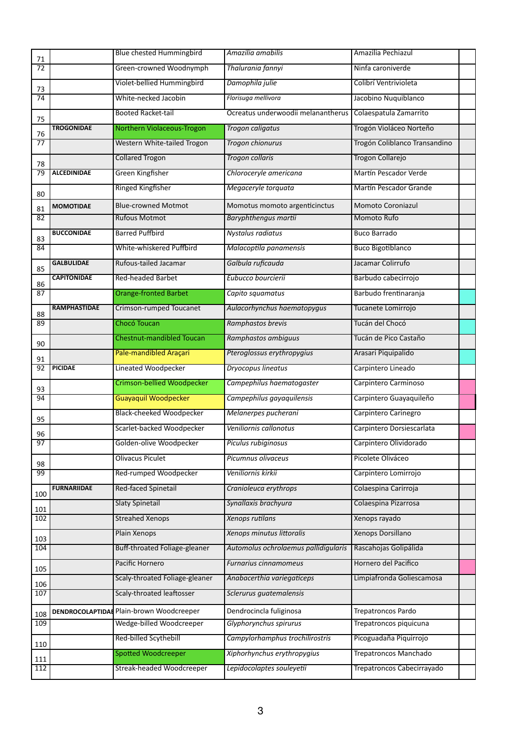| 71              |                    | <b>Blue chested Hummingbird</b>         | Amazilia amabilis                    | Amazilia Pechiazul            |  |
|-----------------|--------------------|-----------------------------------------|--------------------------------------|-------------------------------|--|
| $\overline{72}$ |                    | Green-crowned Woodnymph                 | Thalurania fannyi                    | Ninfa caroniverde             |  |
| 73              |                    | Violet-bellied Hummingbird              | Damophila julie                      | Colibrí Ventrivioleta         |  |
| $\overline{74}$ |                    | White-necked Jacobin                    | Florisuga mellivora                  | Jacobino Nuquiblanco          |  |
| 75              |                    | <b>Booted Racket-tail</b>               | Ocreatus underwoodii melanantherus   | Colaespatula Zamarrito        |  |
| 76              | <b>TROGONIDAE</b>  | Northern Violaceous-Trogon              | <b>Trogon caligatus</b>              | Trogón Violáceo Norteño       |  |
| 77              |                    | Western White-tailed Trogon             | Trogon chionurus                     | Trogón Coliblanco Transandino |  |
| 78              |                    | <b>Collared Trogon</b>                  | <b>Trogon collaris</b>               | Trogon Collarejo              |  |
| 79              | <b>ALCEDINIDAE</b> | Green Kingfisher                        | Chloroceryle americana               | Martín Pescador Verde         |  |
| 80              |                    | <b>Ringed Kingfisher</b>                | Megaceryle torquata                  | Martín Pescador Grande        |  |
| 81              | <b>MOMOTIDAE</b>   | <b>Blue-crowned Motmot</b>              | Momotus momoto argenticinctus        | Momoto Coroniazul             |  |
| 82              |                    | <b>Rufous Motmot</b>                    | Baryphthengus martii                 | <b>Momoto Rufo</b>            |  |
| 83              | <b>BUCCONIDAE</b>  | <b>Barred Puffbird</b>                  | Nystalus radiatus                    | <b>Buco Barrado</b>           |  |
| 84              |                    | White-whiskered Puffbird                | Malacoptila panamensis               | <b>Buco Bigotiblanco</b>      |  |
| 85              | <b>GALBULIDAE</b>  | Rufous-tailed Jacamar                   | Galbula ruficauda                    | Jacamar Colirrufo             |  |
| 86              | <b>CAPITONIDAE</b> | <b>Red-headed Barbet</b>                | Eubucco bourcierii                   | Barbudo cabecirrojo           |  |
| 87              |                    | <b>Orange-fronted Barbet</b>            | Capito squamatus                     | Barbudo frentinaranja         |  |
| 88              | RAMPHASTIDAE       | Crimson-rumped Toucanet                 | Aulacorhynchus haematopygus          | Tucanete Lomirrojo            |  |
| 89              |                    | Chocó Toucan                            | Ramphastos brevis                    | Tucán del Chocó               |  |
| 90              |                    | <b>Chestnut-mandibled Toucan</b>        | Ramphastos ambiguus                  | Tucán de Pico Castaño         |  |
| 91              |                    | Pale-mandibled Araçari                  | Pteroglossus erythropygius           | Arasari Piquipalido           |  |
| 92              | <b>PICIDAE</b>     | <b>Lineated Woodpecker</b>              | Dryocopus lineatus                   | Carpintero Lineado            |  |
| 93              |                    | <b>Crimson-bellied Woodpecker</b>       | Campephilus haematogaster            | Carpintero Carminoso          |  |
| 94              |                    | <b>Guayaquil Woodpecker</b>             | Campephilus gayaguilensis            | Carpintero Guayaquileño       |  |
|                 |                    | <b>Black-cheeked Woodpecker</b>         | Melanerpes pucherani                 | Carpintero Carinegro          |  |
| 95              |                    | Scarlet-backed Woodpecker               | Veniliornis callonotus               | Carpintero Dorsiescarlata     |  |
| 96<br>97        |                    | Golden-olive Woodpecker                 | Piculus rubiginosus                  | Carpintero Olividorado        |  |
|                 |                    | <b>Olivacus Piculet</b>                 | Picumnus olivaceus                   | Picolete Oliváceo             |  |
| 98<br>99        |                    | Red-rumped Woodpecker                   | Veniliornis kirkii                   | Carpintero Lomirrojo          |  |
|                 | <b>FURNARIIDAE</b> | Red-faced Spinetail                     | Cranioleuca erythrops                | Colaespina Carirroja          |  |
| 100             |                    | <b>Slaty Spinetail</b>                  | Synallaxis brachyura                 | Colaespina Pizarrosa          |  |
| 101<br>102      |                    | <b>Streahed Xenops</b>                  | Xenops rutilans                      | Xenops rayado                 |  |
|                 |                    | Plain Xenops                            | Xenops minutus littoralis            | Xenops Dorsillano             |  |
| 103<br>104      |                    | Buff-throated Foliage-gleaner           | Automolus ochrolaemus pallidigularis | Rascahojas Golipálida         |  |
|                 |                    | Pacific Hornero                         | Furnarius cinnamomeus                | Hornero del Pacifico          |  |
| 105             |                    | Scaly-throated Foliage-gleaner          | Anabacerthia variegaticeps           | Limpiafronda Goliescamosa     |  |
| 106<br>107      |                    | Scaly-throated leaftosser               | Sclerurus guatemalensis              |                               |  |
|                 |                    | DENDROCOLAPTIDA Plain-brown Woodcreeper | Dendrocincla fuliginosa              | Trepatroncos Pardo            |  |
| 108<br>109      |                    | Wedge-billed Woodcreeper                | Glyphorynchus spirurus               | Trepatroncos piquicuna        |  |
|                 |                    | Red-billed Scythebill                   | Campylorhamphus trochilirostris      | Picoguadaña Piquirrojo        |  |
| 110             |                    | <b>Spotted Woodcreeper</b>              | Xiphorhynchus erythropygius          | <b>Trepatroncos Manchado</b>  |  |
| 111<br>112      |                    | Streak-headed Woodcreeper               | Lepidocolaptes souleyetii            | Trepatroncos Cabecirrayado    |  |
|                 |                    |                                         |                                      |                               |  |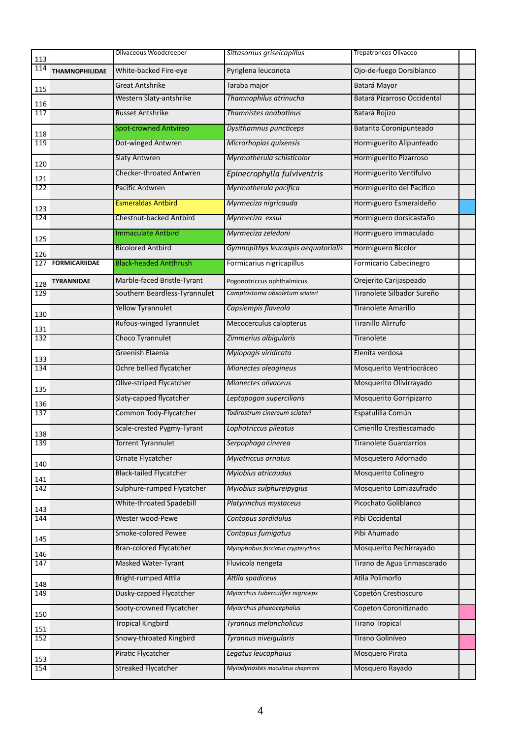| 113 |                       | Olivaceous Woodcreeper         | Sittasomus griseicapillus           | <b>Trepatroncos Olivaceo</b>   |  |
|-----|-----------------------|--------------------------------|-------------------------------------|--------------------------------|--|
| 114 | <b>THAMNOPHILIDAE</b> | White-backed Fire-eye          | Pyriglena leuconota                 | Ojo-de-fuego Dorsiblanco       |  |
| 115 |                       | <b>Great Antshrike</b>         | Taraba major                        | Batará Mayor                   |  |
| 116 |                       | Western Slaty-antshrike        | Thamnophilus atrinucha              | Batará Pizarroso Occidental    |  |
| 117 |                       | <b>Russet Antshrike</b>        | Thamnistes anabatinus               | Batará Rojizo                  |  |
| 118 |                       | <b>Spot-crowned Antvireo</b>   | Dysithamnus puncticeps              | <b>Batarito Coronipunteado</b> |  |
| 119 |                       | Dot-winged Antwren             | Microrhopias quixensis              | Hormiguerito Alipunteado       |  |
| 120 |                       | <b>Slaty Antwren</b>           | Myrmotherula schisticolor           | Hormiguerito Pizarroso         |  |
| 121 |                       | Checker-throated Antwren       | Epinecrophylla fulviventris         | Hormiguerito Ventifulvo        |  |
| 122 |                       | <b>Pacific Antwren</b>         | Myrmotherula pacifica               | Hormiguerito del Pacifico      |  |
| 123 |                       | <b>Esmeraldas Antbird</b>      | Myrmeciza nigricauda                | Hormiguero Esmeraldeño         |  |
| 124 |                       | Chestnut-backed Antbird        | Myrmeciza exsul                     | Hormiguero dorsicastaño        |  |
| 125 |                       | <b>Immaculate Antbird</b>      | Myrmeciza zeledoni                  | Hormiguero immaculado          |  |
| 126 |                       | <b>Bicolored Antbird</b>       | Gymnopithys leucaspis aequatorialis | Hormiguero Bicolor             |  |
| 127 | <b>FORMICARIIDAE</b>  | <b>Black-headed Antthrush</b>  | Formicarius nigricapillus           | Formicario Cabecinegro         |  |
| 128 | <b>TYRANNIDAE</b>     | Marble-faced Bristle-Tyrant    | Pogonotriccus ophthalmicus          | Orejerito Carijaspeado         |  |
| 129 |                       | Southern Beardless-Tyrannulet  | Camptostoma obsoletum sclateri      | Tiranolete Silbador Sureño     |  |
| 130 |                       | <b>Yellow Tyrannulet</b>       | Capsiempis flaveola                 | <b>Tiranolete Amarillo</b>     |  |
| 131 |                       | Rufous-winged Tyrannulet       | Mecocerculus calopterus             | <b>Tiranillo Alirrufo</b>      |  |
| 132 |                       | Choco Tyrannulet               | Zimmerius albigularis               | Tiranolete                     |  |
| 133 |                       | Greenish Elaenia               | Myiopagis viridicata                | Elenita verdosa                |  |
| 134 |                       | Ochre bellied flycatcher       | Mionectes oleagineus                | Mosquerito Ventriocráceo       |  |
| 135 |                       | Olive-striped Flycatcher       | Mionectes olivaceus                 | Mosquerito Olivirrayado        |  |
| 136 |                       | Slaty-capped flycatcher        | Leptopogon superciliaris            | Mosquerito Gorripizarro        |  |
| 137 |                       | Common Tody-Flycatcher         | Todirostrum cinereum sclateri       | Espatulilla Común              |  |
| 138 |                       | Scale-crested Pygmy-Tyrant     | Lophotriccus pileatus               | Cimerillo Crestiescamado       |  |
| 139 |                       | forrent Tyrannulet             | Serpophaga cinerea                  | Tiranolete Guardarrios         |  |
| 140 |                       | Ornate Flycatcher              | <b>Myiotriccus ornatus</b>          | Mosquetero Adornado            |  |
| 141 |                       | <b>Black-tailed Flycatcher</b> | Myiobius atricaudus                 | <b>Mosquerito Colinegro</b>    |  |
| 142 |                       | Sulphure-rumped Flycatcher     | Myiobius sulphureipygius            | Mosquerito Lomiazufrado        |  |
| 143 |                       | White-throated Spadebill       | Platyrinchus mystaceus              | Picochato Goliblanco           |  |
| 144 |                       | Wester wood-Pewe               | Contopus sordidulus                 | Pibi Occidental                |  |
| 145 |                       | Smoke-colored Pewee            | Contopus fumigatus                  | Pibi Ahumado                   |  |
| 146 |                       | <b>Bran-colored Flycatcher</b> | Myiophobus fasciatus crypterythrus  | Mosquerito Pechirrayado        |  |
| 147 |                       | <b>Masked Water-Tyrant</b>     | Fluvicola nengeta                   | Tirano de Agua Enmascarado     |  |
| 148 |                       | Bright-rumped Attila           | Attila spadiceus                    | Atila Polimorfo                |  |
| 149 |                       | Dusky-capped Flycatcher        | Myiarchus tuberculifer nigriceps    | Copetón Crestioscuro           |  |
| 150 |                       | Sooty-crowned Flycatcher       | Myiarchus phaeocephalus             | Copeton Coronitiznado          |  |
| 151 |                       | <b>Tropical Kingbird</b>       | Tyrannus melancholicus              | <b>Tirano Tropical</b>         |  |
| 152 |                       | Snowy-throated Kingbird        | Tyrannus niveigularis               | Tirano Goliníveo               |  |
| 153 |                       | Piratic Flycatcher             | Legatus leucophaius                 | Mosquero Pirata                |  |
| 154 |                       | <b>Streaked Flycatcher</b>     | Myiodynastes maculatus chapmani     | Mosquero Rayado                |  |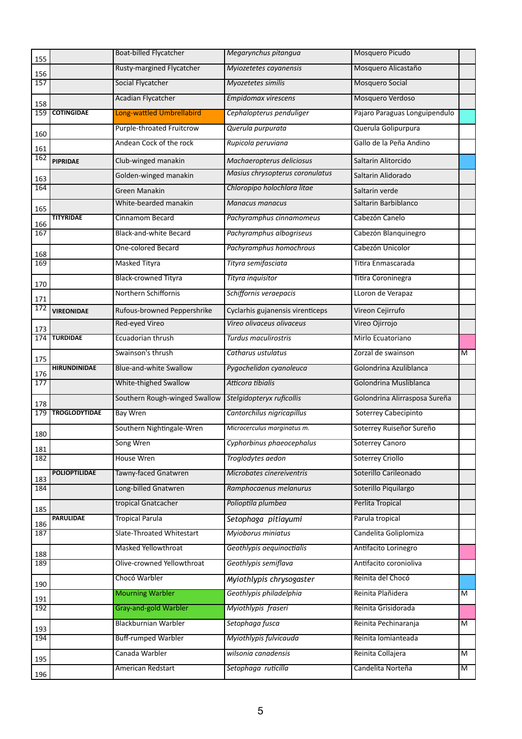| 155        |                      | <b>Boat-billed Flycatcher</b> | Megarynchus pitangua             | Mosquero Picudo               |                |
|------------|----------------------|-------------------------------|----------------------------------|-------------------------------|----------------|
| 156        |                      | Rusty-margined Flycatcher     | Myiozetetes cayanensis           | Mosquero Alicastaño           |                |
| 157        |                      | Social Flycatcher             | Myozetetes similis               | <b>Mosquero Social</b>        |                |
| 158        |                      | <b>Acadian Flycatcher</b>     | Empidomax virescens              | Mosquero Verdoso              |                |
| 159        | <b>COTINGIDAE</b>    | Long-wattled Umbrellabird     | Cephalopterus penduliger         | Pajaro Paraguas Longuipendulo |                |
|            |                      | Purple-throated Fruitcrow     | Querula purpurata                | Querula Golipurpura           |                |
| 160        |                      | Andean Cock of the rock       | Rupicola peruviana               | Gallo de la Peña Andino       |                |
| 161<br>162 | <b>PIPRIDAE</b>      | Club-winged manakin           | Machaeropterus deliciosus        | Saltarin Alitorcido           |                |
|            |                      | Golden-winged manakin         | Masius chrysopterus coronulatus  | Saltarin Alidorado            |                |
| 163<br>164 |                      | <b>Green Manakin</b>          | Chloropipo holochlora litae      | Saltarin verde                |                |
|            |                      | White-bearded manakin         | <b>Manacus manacus</b>           | Saltarin Barbiblanco          |                |
| 165        | <b>TITYRIDAE</b>     | Cinnamom Becard               | Pachyramphus cinnamomeus         | Cabezón Canelo                |                |
| 166<br>167 |                      | Black-and-white Becard        | Pachyramphus albogriseus         | Cabezón Blanquinegro          |                |
|            |                      | One-colored Becard            | Pachyramphus homochrous          | Cabezón Unicolor              |                |
| 168<br>169 |                      | <b>Masked Tityra</b>          | Tityra semifasciata              | Titira Enmascarada            |                |
|            |                      | <b>Black-crowned Tityra</b>   | Tityra inquisitor                | Titira Coroninegra            |                |
| 170        |                      | Northern Schiffornis          | Schiffornis veraepacis           | LLoron de Verapaz             |                |
| 171<br>172 |                      | Rufous-browned Peppershrike   | Cyclarhis gujanensis virenticeps | Vireon Cejirrufo              |                |
|            | <b>VIREONIDAE</b>    | Red-eyed Vireo                | Vireo olivaceus olivaceus        | Vireo Ojirrojo                |                |
| 173<br>174 | <b>TURDIDAE</b>      | Ecuadorian thrush             | Turdus maculirostris             | Mirlo Ecuatoriano             |                |
|            |                      | Swainson's thrush             | Catharus ustulatus               | Zorzal de swainson            | M              |
| 175        | <b>HIRUNDINIDAE</b>  | <b>Blue-and-white Swallow</b> | Pygochelidon cyanoleuca          | Golondrina Azuliblanca        |                |
| 176<br>177 |                      | White-thighed Swallow         | Atticora tibialis                | Golondrina Musliblanca        |                |
|            |                      | Southern Rough-winged Swallow | Stelgidopteryx ruficollis        | Golondrina Alirrasposa Sureña |                |
| 178<br>179 | <b>TROGLODYTIDAE</b> | <b>Bay Wren</b>               | Cantorchilus nigricapillus       | <b>Soterrey Cabecipinto</b>   |                |
|            |                      |                               |                                  |                               |                |
| 180        |                      | Southern Nightingale-Wren     | Microcerculus marginatus m.      | Soterrey Ruiseñor Sureño      |                |
| 181        |                      | Song Wren                     | Cyphorbinus phaeocephalus        | Soterrey Canoro               |                |
| 182        |                      | <b>House Wren</b>             | Troglodytes aedon                | <b>Soterrey Criollo</b>       |                |
| 183        | <b>POLIOPTILIDAE</b> | Tawny-faced Gnatwren          | Microbates cinereiventris        | Soterillo Carileonado         |                |
| 184        |                      | Long-billed Gnatwren          | Ramphocaenus melanurus           | Soterillo Piquilargo          |                |
| 185        |                      | tropical Gnatcacher           | Polioptila plumbea               | Perlita Tropical              |                |
| 186        | <b>PARULIDAE</b>     | <b>Tropical Parula</b>        | Setophaga pitiayumi              | Parula tropical               |                |
| 187        |                      | Slate-Throated Whitestart     | Myioborus miniatus               | Candelita Goliplomiza         |                |
| 188        |                      | Masked Yellowthroat           | Geothlypis aequinoctialis        | Antifacito Lorinegro          |                |
| 189        |                      | Olive-crowned Yellowthroat    | Geothlypis semiflava             | Antifacito coronioliva        |                |
| 190        |                      | Chocó Warbler                 | Myiothlypis chrysogaster         | Reinita del Chocó             |                |
| 191        |                      | <b>Mourning Warbler</b>       | Geothlypis philadelphia          | Reinita Plañidera             | $\overline{M}$ |
| 192        |                      | <b>Gray-and-gold Warbler</b>  | Myiothlypis fraseri              | Reinita Grisidorada           |                |
| 193        |                      | <b>Blackburnian Warbler</b>   | Setophaga fusca                  | Reinita Pechinaranja          | M              |
| 194        |                      | <b>Buff-rumped Warbler</b>    | Myiothlypis fulvicauda           | Reinita lomianteada           |                |
| 195        |                      | Canada Warbler                | wilsonia canadensis              | Reinita Collajera             | $\overline{M}$ |
| 196        |                      | American Redstart             | Setophaga ruticilla              | Candelita Norteña             | $\overline{M}$ |
|            |                      |                               |                                  |                               |                |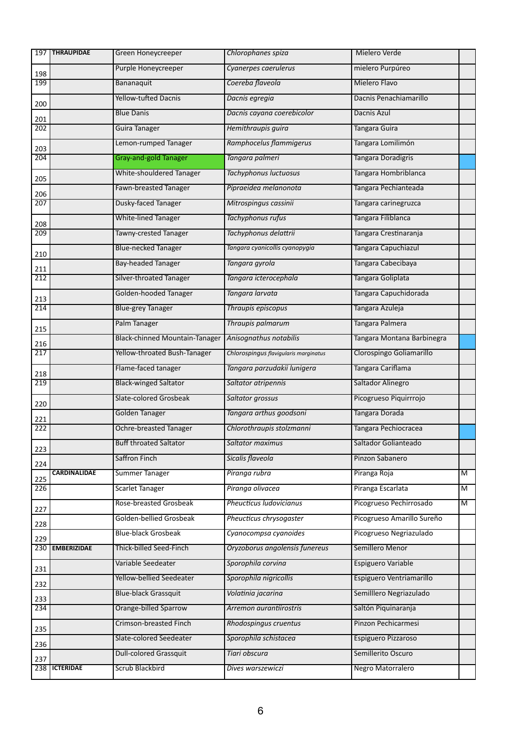|            | 197   THRAUPIDAE    | Green Honeycreeper             | Chlorophanes spiza                    | Mielero Verde              |                |
|------------|---------------------|--------------------------------|---------------------------------------|----------------------------|----------------|
| 198        |                     | Purple Honeycreeper            | Cyanerpes caerulerus                  | mielero Purpúreo           |                |
| 199        |                     | Bananaquit                     | Coereba flaveola                      | Mielero Flavo              |                |
| 200        |                     | <b>Yellow-tufted Dacnis</b>    | Dacnis egregia                        | Dacnis Penachiamarillo     |                |
| 201        |                     | <b>Blue Danis</b>              | Dacnis cayana coerebicolor            | Dacnis Azul                |                |
| 202        |                     | Guira Tanager                  | Hemithraupis guira                    | Tangara Guira              |                |
| 203        |                     | Lemon-rumped Tanager           | Ramphocelus flammigerus               | Tangara Lomilimón          |                |
| 204        |                     | <b>Gray-and-gold Tanager</b>   | Tangara palmeri                       | Tangara Doradigris         |                |
| 205        |                     | White-shouldered Tanager       | Tachyphonus luctuosus                 | Tangara Hombriblanca       |                |
|            |                     | Fawn-breasted Tanager          | Pipraeidea melanonota                 | Tangara Pechianteada       |                |
| 206<br>207 |                     | Dusky-faced Tanager            | Mitrospingus cassinii                 | Tangara carinegruzca       |                |
|            |                     | <b>White-lined Tanager</b>     | Tachyphonus rufus                     | Tangara Filiblanca         |                |
| 208<br>209 |                     | Tawny-crested Tanager          | Tachyphonus delattrii                 | Tangara Crestinaranja      |                |
|            |                     | <b>Blue-necked Tanager</b>     | Tangara cyanicollis cyanopygia        | Tangara Capuchiazul        |                |
| 210        |                     | <b>Bay-headed Tanager</b>      | Tangara gyrola                        | Tangara Cabecibaya         |                |
| 211<br>212 |                     | Silver-throated Tanager        | Tangara icterocephala                 | Tangara Goliplata          |                |
|            |                     | Golden-hooded Tanager          | Tangara larvata                       | Tangara Capuchidorada      |                |
| 213<br>214 |                     | <b>Blue-grey Tanager</b>       | Thraupis episcopus                    | Tangara Azuleja            |                |
|            |                     |                                |                                       |                            |                |
| 215        |                     | Palm Tanager                   | Thraupis palmarum                     | Tangara Palmera            |                |
| 216        |                     | Black-chinned Mountain-Tanager | Anisognathus notabilis                | Tangara Montana Barbinegra |                |
| 217        |                     | Yellow-throated Bush-Tanager   | Chlorospingus flavigularis marginatus | Clorospingo Goliamarillo   |                |
| 218        |                     | Flame-faced tanager            | Tangara parzudakii lunigera           | Tangara Cariflama          |                |
| 219        |                     | <b>Black-winged Saltator</b>   | Saltator atripennis                   | Saltador Alinegro          |                |
| 220        |                     | Slate-colored Grosbeak         | Saltator grossus                      | Picogrueso Piquirrrojo     |                |
| 221        |                     | Golden Tanager                 | Tangara arthus goodsoni               | Tangara Dorada             |                |
| 222        |                     | <b>Ochre-breasted Tanager</b>  | Chlorothraupis stolzmanni             | Tangara Pechiocracea       |                |
| 223        |                     | <b>Buff throated Saltator</b>  | Saltator maximus                      | Saltador Golianteado       |                |
| 224        |                     | Saffron Finch                  | Sicalis flaveola                      | Pinzon Sabanero            |                |
| 225        | <b>CARDINALIDAE</b> | Summer Tanager                 | Piranga rubra                         | Piranga Roja               | $\overline{M}$ |
| 226        |                     | <b>Scarlet Tanager</b>         | Piranga olivacea                      | Piranga Escarlata          | $\overline{M}$ |
| 227        |                     | Rose-breasted Grosbeak         | Pheucticus Iudovicianus               | Picogrueso Pechirrosado    | $\overline{M}$ |
| 228        |                     | Golden-bellied Grosbeak        | Pheucticus chrysogaster               | Picogrueso Amarillo Sureño |                |
| 229        |                     | <b>Blue-black Grosbeak</b>     | Cyanocompsa cyanoides                 | Picogrueso Negriazulado    |                |
|            | 230 EMBERIZIDAE     | Thick-billed Seed-Finch        | Oryzoborus angolensis funereus        | Semillero Menor            |                |
|            |                     | Variable Seedeater             | Sporophila corvina                    | Espiguero Variable         |                |
| 231        |                     | Yellow-bellied Seedeater       | Sporophila nigricollis                | Espiguero Ventriamarillo   |                |
| 232        |                     | <b>Blue-black Grassquit</b>    | Volatinia jacarina                    | Semilllero Negriazulado    |                |
| 233<br>234 |                     | Orange-billed Sparrow          | Arremon aurantiirostris               | Saltón Piquinaranja        |                |
|            |                     | Crimson-breasted Finch         | Rhodospingus cruentus                 | Pinzon Pechicarmesi        |                |
| 235        |                     | Slate-colored Seedeater        | Sporophila schistacea                 | Espiguero Pizzaroso        |                |
| 236        |                     | <b>Dull-colored Grassquit</b>  | Tiari obscura                         | Semillerito Oscuro         |                |
| 237        | 238   ICTERIDAE     |                                |                                       |                            |                |
|            |                     | <b>Scrub Blackbird</b>         | Dives warszewiczi                     | Negro Matorralero          |                |